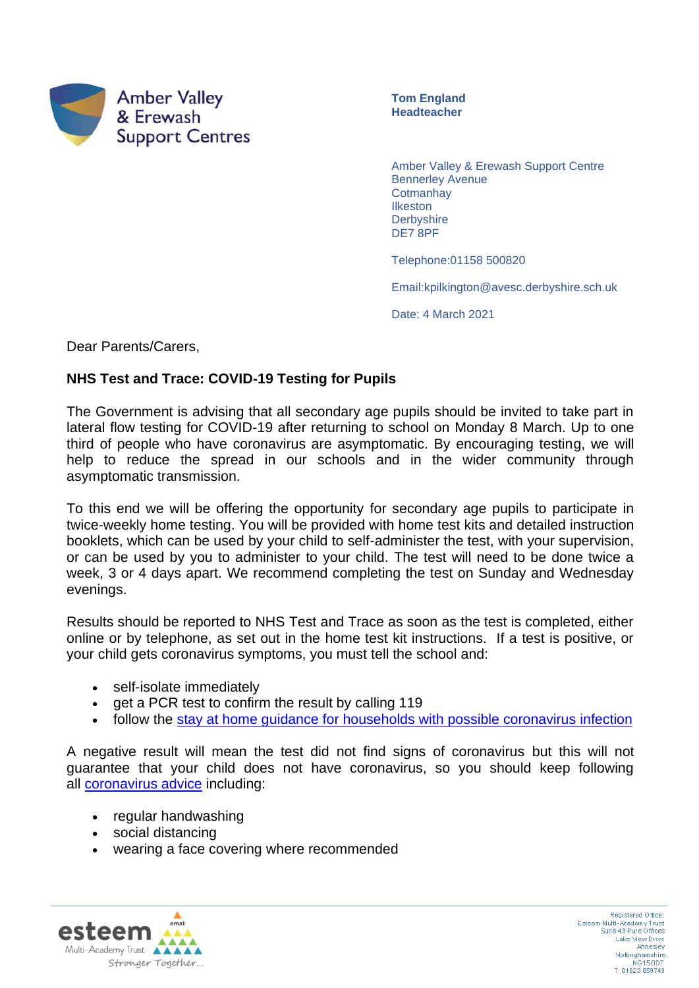

**Tom England Headteacher**

Amber Valley & Erewash Support Centre Bennerley Avenue **Cotmanhay Ilkeston Derbyshire** DE7 8PF

Telephone:01158 500820

Email:kpilkington@avesc.derbyshire.sch.uk

Date: 4 March 2021

Dear Parents/Carers,

## **NHS Test and Trace: COVID-19 Testing for Pupils**

The Government is advising that all secondary age pupils should be invited to take part in lateral flow testing for COVID-19 after returning to school on Monday 8 March. Up to one third of people who have coronavirus are asymptomatic. By encouraging testing, we will help to reduce the spread in our schools and in the wider community through asymptomatic transmission.

To this end we will be offering the opportunity for secondary age pupils to participate in twice-weekly home testing. You will be provided with home test kits and detailed instruction booklets, which can be used by your child to self-administer the test, with your supervision, or can be used by you to administer to your child. The test will need to be done twice a week, 3 or 4 days apart. We recommend completing the test on Sunday and Wednesday evenings.

Results should be reported to NHS Test and Trace as soon as the test is completed, either online or by telephone, as set out in the home test kit instructions. If a test is positive, or your child gets coronavirus symptoms, you must tell the school and:

- self-isolate immediately
- get a PCR test to confirm the result by calling 119
- follow the [stay at home guidance for households with possible coronavirus infection](https://www.gov.uk/government/publications/covid-19-stay-at-home-guidance)

A negative result will mean the test did not find signs of coronavirus but this will not guarantee that your child does not have coronavirus, so you should keep following all [coronavirus advice](https://www.gov.uk/government/publications/how-to-stop-the-spread-of-coronavirus-covid-19/how-to-stop-the-spread-of-coronavirus-covid-19) including:

- regular handwashing
- social distancing
- wearing a face covering where recommended

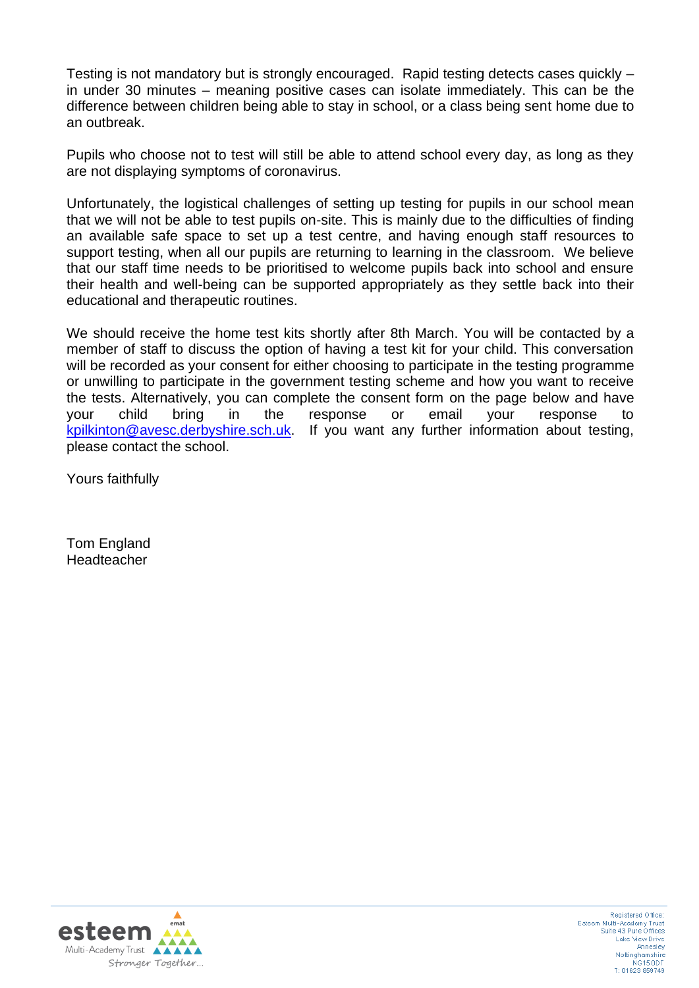Testing is not mandatory but is strongly encouraged. Rapid testing detects cases quickly – in under 30 minutes – meaning positive cases can isolate immediately. This can be the difference between children being able to stay in school, or a class being sent home due to an outbreak.

Pupils who choose not to test will still be able to attend school every day, as long as they are not displaying symptoms of coronavirus.

Unfortunately, the logistical challenges of setting up testing for pupils in our school mean that we will not be able to test pupils on-site. This is mainly due to the difficulties of finding an available safe space to set up a test centre, and having enough staff resources to support testing, when all our pupils are returning to learning in the classroom. We believe that our staff time needs to be prioritised to welcome pupils back into school and ensure their health and well-being can be supported appropriately as they settle back into their educational and therapeutic routines.

We should receive the home test kits shortly after 8th March. You will be contacted by a member of staff to discuss the option of having a test kit for your child. This conversation will be recorded as your consent for either choosing to participate in the testing programme or unwilling to participate in the government testing scheme and how you want to receive the tests. Alternatively, you can complete the consent form on the page below and have your child bring in the response or email your response to [kpilkinton@avesc.derbyshire.sch.uk.](mailto:kpilkinton@avesc.derbyshire.sch.uk) If you want any further information about testing, please contact the school.

Yours faithfully

Tom England **Headteacher**